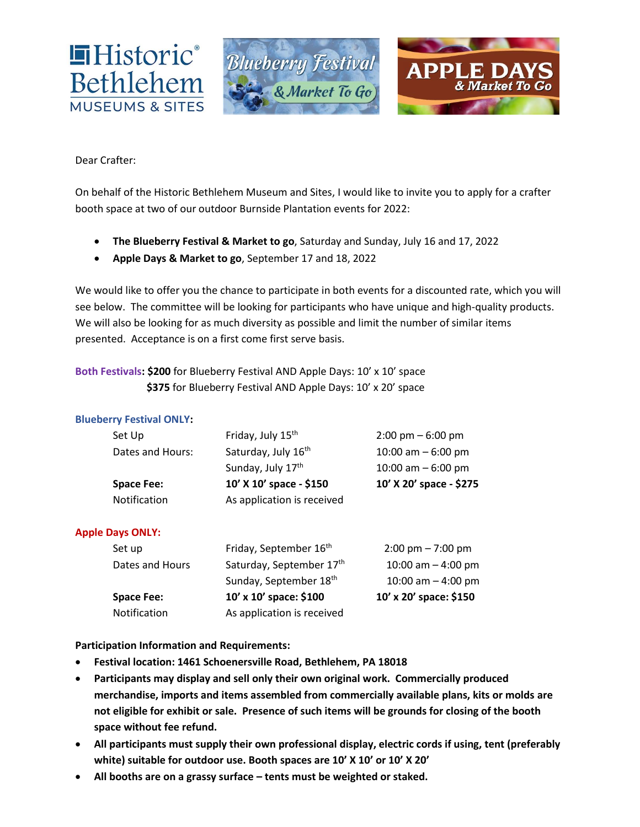

Dear Crafter:

On behalf of the Historic Bethlehem Museum and Sites, I would like to invite you to apply for a crafter booth space at two of our outdoor Burnside Plantation events for 2022:

- **The Blueberry Festival & Market to go**, Saturday and Sunday, July 16 and 17, 2022
- **Apple Days & Market to go**, September 17 and 18, 2022

We would like to offer you the chance to participate in both events for a discounted rate, which you will see below. The committee will be looking for participants who have unique and high-quality products. We will also be looking for as much diversity as possible and limit the number of similar items presented. Acceptance is on a first come first serve basis.

### **Both Festivals: \$200** for Blueberry Festival AND Apple Days: 10' x 10' space \$375 for Blueberry Festival AND Apple Days: 10' x 20' space

### **Blueberry Festival ONLY:**

| Set Up            | Friday, July 15 <sup>th</sup> | $2:00 \text{ pm} - 6:00 \text{ pm}$ |
|-------------------|-------------------------------|-------------------------------------|
| Dates and Hours:  | Saturday, July 16th           | 10:00 am $-6:00$ pm                 |
|                   | Sunday, July 17th             | 10:00 am $-6:00$ pm                 |
| <b>Space Fee:</b> | 10' X 10' space - \$150       | 10' X 20' space - \$275             |
| Notification      | As application is received    |                                     |

### **Apple Days ONLY:**

| Set up            | Friday, September 16 <sup>th</sup> | $2:00 \text{ pm} - 7:00 \text{ pm}$ |
|-------------------|------------------------------------|-------------------------------------|
| Dates and Hours   | Saturday, September 17th           | 10:00 am $-$ 4:00 pm                |
|                   | Sunday, September 18th             | 10:00 am $-$ 4:00 pm                |
| <b>Space Fee:</b> | 10' x 10' space: \$100             | 10' x 20' space: \$150              |
| Notification      | As application is received         |                                     |

**Participation Information and Requirements:**

- **Festival location: 1461 Schoenersville Road, Bethlehem, PA 18018**
- **Participants may display and sell only their own original work. Commercially produced merchandise, imports and items assembled from commercially available plans, kits or molds are not eligible for exhibit or sale. Presence of such items will be grounds for closing of the booth space without fee refund.**
- **All participants must supply their own professional display, electric cords if using, tent (preferably white) suitable for outdoor use. Booth spaces are 10' X 10' or 10' X 20'**
- **All booths are on a grassy surface – tents must be weighted or staked.**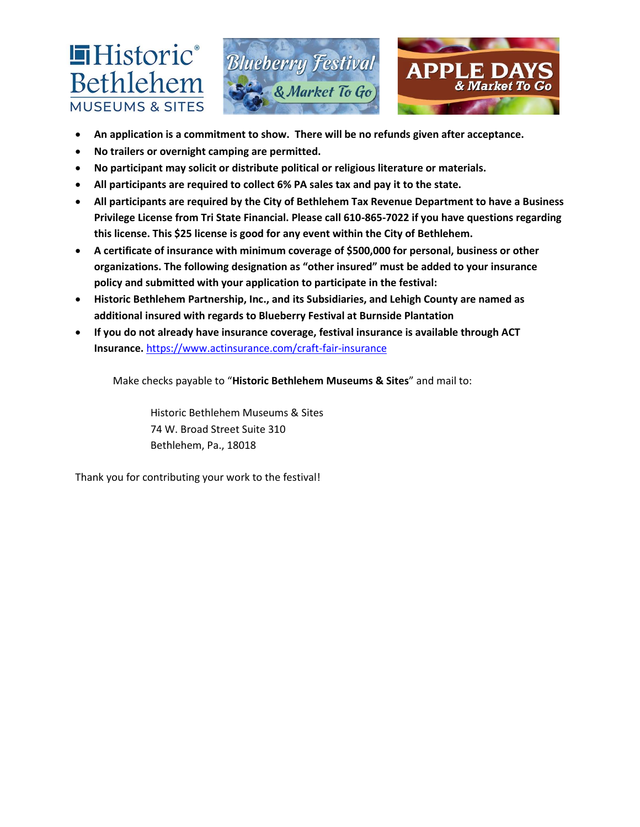



- **An application is a commitment to show. There will be no refunds given after acceptance.**
- **No trailers or overnight camping are permitted.**

**■Historic**®

Bethlehem

**MUSEUMS & SITES** 

- **No participant may solicit or distribute political or religious literature or materials.**
- **All participants are required to collect 6% PA sales tax and pay it to the state.**
- **All participants are required by the City of Bethlehem Tax Revenue Department to have a Business Privilege License from Tri State Financial. Please call 610-865-7022 if you have questions regarding this license. This \$25 license is good for any event within the City of Bethlehem.**
- **A certificate of insurance with minimum coverage of \$500,000 for personal, business or other organizations. The following designation as "other insured" must be added to your insurance policy and submitted with your application to participate in the festival:**
- **Historic Bethlehem Partnership, Inc., and its Subsidiaries, and Lehigh County are named as additional insured with regards to Blueberry Festival at Burnside Plantation**
- **If you do not already have insurance coverage, festival insurance is available through ACT Insurance.** <https://www.actinsurance.com/craft-fair-insurance>

Make checks payable to "**Historic Bethlehem Museums & Sites**" and mail to:

Historic Bethlehem Museums & Sites 74 W. Broad Street Suite 310 Bethlehem, Pa., 18018

Thank you for contributing your work to the festival!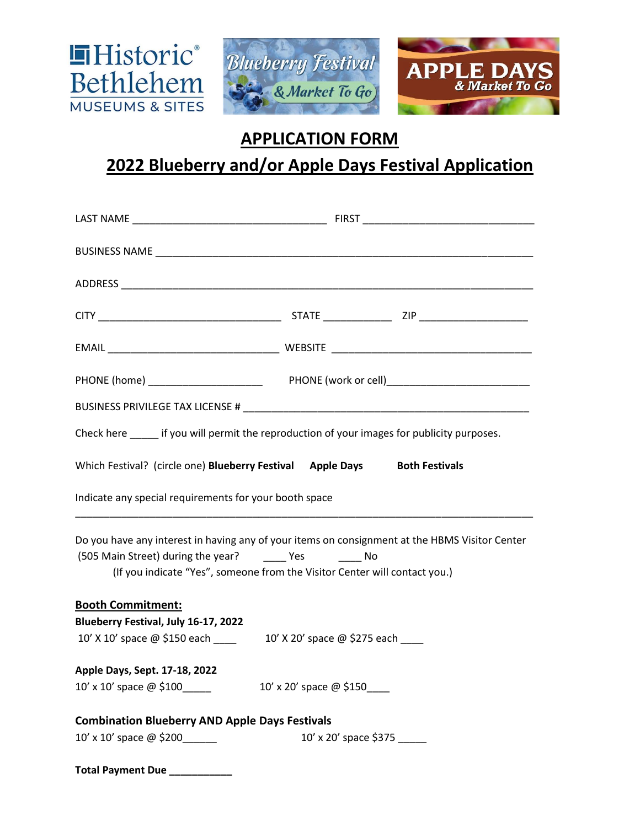

## **APPLICATION FORM**

# **2022 Blueberry and/or Apple Days Festival Application**

|                                                                                                                                                                                                                                   | Check here ______ if you will permit the reproduction of your images for publicity purposes. |  |  |  |
|-----------------------------------------------------------------------------------------------------------------------------------------------------------------------------------------------------------------------------------|----------------------------------------------------------------------------------------------|--|--|--|
| Which Festival? (circle one) Blueberry Festival Apple Days Both Festivals                                                                                                                                                         |                                                                                              |  |  |  |
| Indicate any special requirements for your booth space                                                                                                                                                                            |                                                                                              |  |  |  |
| Do you have any interest in having any of your items on consignment at the HBMS Visitor Center<br>(505 Main Street) during the year? The Yes The No<br>(If you indicate "Yes", someone from the Visitor Center will contact you.) |                                                                                              |  |  |  |
| <b>Booth Commitment:</b>                                                                                                                                                                                                          |                                                                                              |  |  |  |
| Blueberry Festival, July 16-17, 2022                                                                                                                                                                                              |                                                                                              |  |  |  |
| Apple Days, Sept. 17-18, 2022                                                                                                                                                                                                     |                                                                                              |  |  |  |
| $10'$ x $10'$ space $@$ \$100                                                                                                                                                                                                     | 10' x 20' space @ \$150____                                                                  |  |  |  |
| <b>Combination Blueberry AND Apple Days Festivals</b>                                                                                                                                                                             |                                                                                              |  |  |  |
| 10' x 10' space @ \$200                                                                                                                                                                                                           | 10' x 20' space \$375                                                                        |  |  |  |
| Total Payment Due ___________                                                                                                                                                                                                     |                                                                                              |  |  |  |